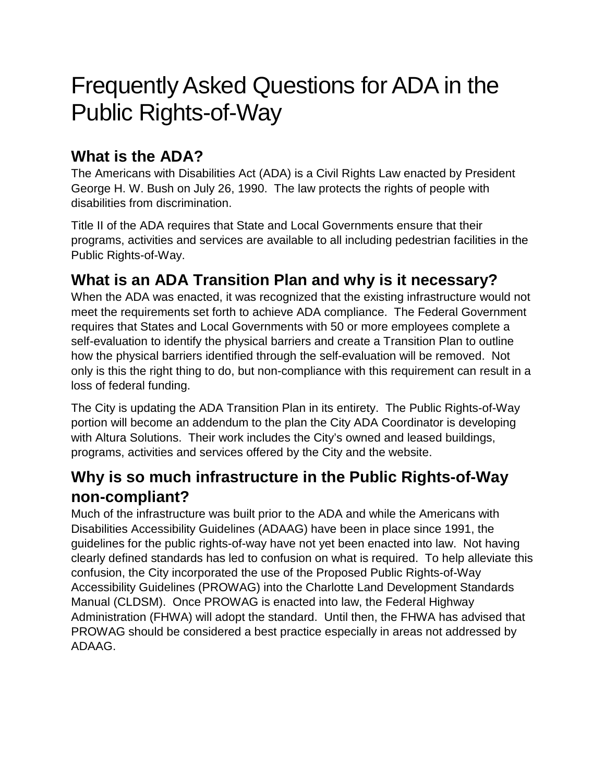# Frequently Asked Questions for ADA in the Public Rights-of-Way

#### **What is the ADA?**

The Americans with Disabilities Act (ADA) is a Civil Rights Law enacted by President George H. W. Bush on July 26, 1990. The law protects the rights of people with disabilities from discrimination.

Title II of the ADA requires that State and Local Governments ensure that their programs, activities and services are available to all including pedestrian facilities in the Public Rights-of-Way.

#### **What is an ADA Transition Plan and why is it necessary?**

When the ADA was enacted, it was recognized that the existing infrastructure would not meet the requirements set forth to achieve ADA compliance. The Federal Government requires that States and Local Governments with 50 or more employees complete a self-evaluation to identify the physical barriers and create a Transition Plan to outline how the physical barriers identified through the self-evaluation will be removed. Not only is this the right thing to do, but non-compliance with this requirement can result in a loss of federal funding.

The City is updating the ADA Transition Plan in its entirety. The Public Rights-of-Way portion will become an addendum to the plan the City ADA Coordinator is developing with Altura Solutions. Their work includes the City's owned and leased buildings, programs, activities and services offered by the City and the website.

#### **Why is so much infrastructure in the Public Rights-of-Way non-compliant?**

Much of the infrastructure was built prior to the ADA and while the Americans with Disabilities Accessibility Guidelines (ADAAG) have been in place since 1991, the guidelines for the public rights-of-way have not yet been enacted into law. Not having clearly defined standards has led to confusion on what is required. To help alleviate this confusion, the City incorporated the use of the Proposed Public Rights-of-Way Accessibility Guidelines (PROWAG) into the Charlotte Land Development Standards Manual (CLDSM). Once PROWAG is enacted into law, the Federal Highway Administration (FHWA) will adopt the standard. Until then, the FHWA has advised that PROWAG should be considered a best practice especially in areas not addressed by ADAAG.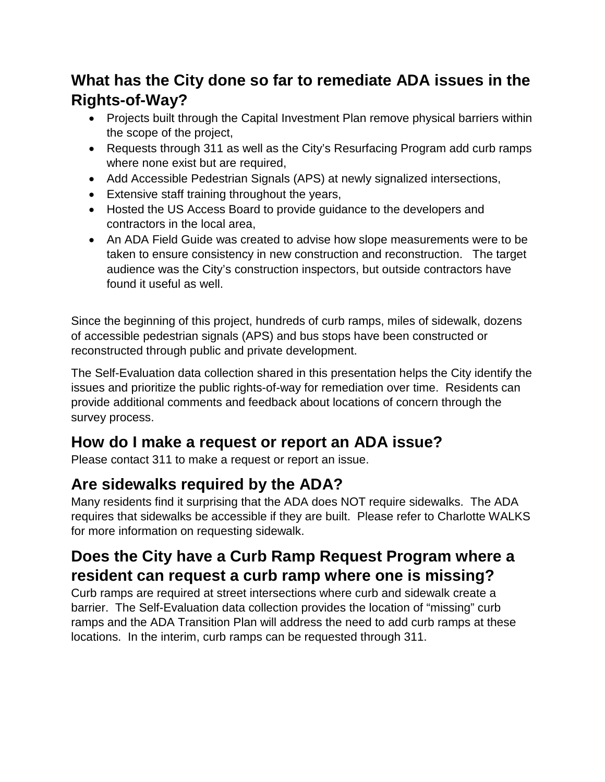#### **What has the City done so far to remediate ADA issues in the Rights-of-Way?**

- Projects built through the Capital Investment Plan remove physical barriers within the scope of the project,
- Requests through 311 as well as the City's Resurfacing Program add curb ramps where none exist but are required,
- Add Accessible Pedestrian Signals (APS) at newly signalized intersections,
- Extensive staff training throughout the years,
- Hosted the US Access Board to provide guidance to the developers and contractors in the local area,
- An ADA Field Guide was created to advise how slope measurements were to be taken to ensure consistency in new construction and reconstruction. The target audience was the City's construction inspectors, but outside contractors have found it useful as well.

Since the beginning of this project, hundreds of curb ramps, miles of sidewalk, dozens of accessible pedestrian signals (APS) and bus stops have been constructed or reconstructed through public and private development.

The Self-Evaluation data collection shared in this presentation helps the City identify the issues and prioritize the public rights-of-way for remediation over time. Residents can provide additional comments and feedback about locations of concern through the survey process.

#### **How do I make a request or report an ADA issue?**

Please contact 311 to make a request or report an issue.

#### **Are sidewalks required by the ADA?**

Many residents find it surprising that the ADA does NOT require sidewalks. The ADA requires that sidewalks be accessible if they are built. Please refer to Charlotte WALKS for more information on requesting sidewalk.

#### **Does the City have a Curb Ramp Request Program where a resident can request a curb ramp where one is missing?**

Curb ramps are required at street intersections where curb and sidewalk create a barrier. The Self-Evaluation data collection provides the location of "missing" curb ramps and the ADA Transition Plan will address the need to add curb ramps at these locations. In the interim, curb ramps can be requested through 311.